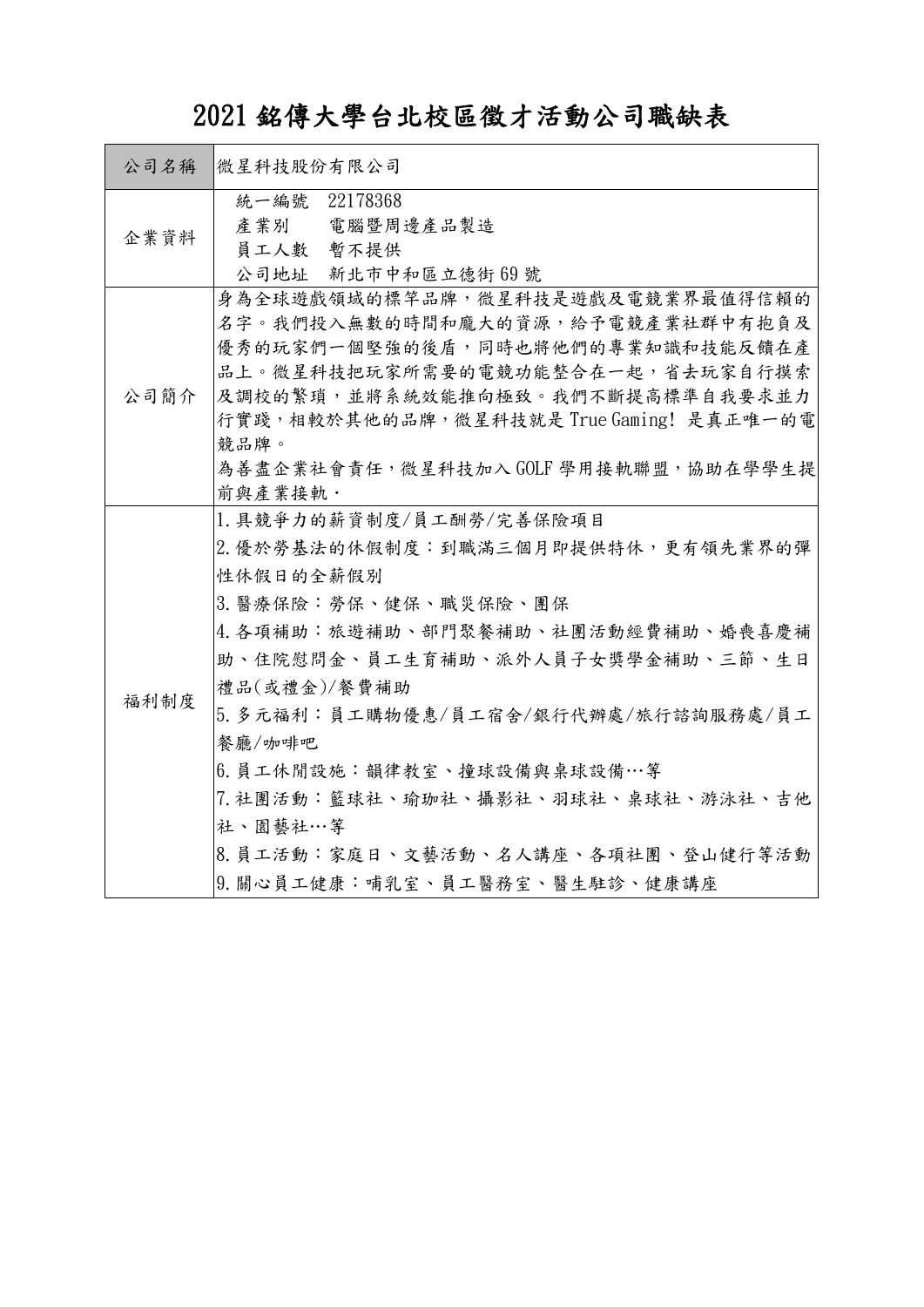## 2021 銘傳大學台北校區徵才活動公司職缺表

| 公司名稱 | 微星科技股份有限公司                                                                                                                                                                                                                                                                                                                                                                                            |
|------|-------------------------------------------------------------------------------------------------------------------------------------------------------------------------------------------------------------------------------------------------------------------------------------------------------------------------------------------------------------------------------------------------------|
| 企業資料 | 22178368<br>統一編號<br>電腦暨周邊產品製造<br>產業別<br>員工人數 暫不提供<br>公司地址 新北市中和區立德街69號                                                                                                                                                                                                                                                                                                                                |
| 公司簡介 | 身為全球遊戲領域的標竿品牌,微星科技是遊戲及電競業界最值得信賴的<br>名字。我們投入無數的時間和龐大的資源,給予電競產業社群中有抱負及<br>優秀的玩家們一個堅強的後盾,同時也將他們的專業知識和技能反饋在產<br>品上。微星科技把玩家所需要的電競功能整合在一起,省去玩家自行摸索<br>及調校的繁瑣,並將系統效能推向極致。我們不斷提高標準自我要求並力<br>行實踐,相較於其他的品牌,微星科技就是 True Gaming! 是真正唯一的電<br>競品牌。<br>為善盡企業社會責任, 微星科技加入 GOLF 學用接軌聯盟, 協助在學學生提<br>前與產業接軌·                                                                                                             |
| 福利制度 | 1.具競爭力的薪資制度/員工酬勞/完善保險項目<br>2. 優於勞基法的休假制度:到職滿三個月即提供特休,更有領先業界的彈<br>性休假日的全薪假別<br>3. 醫療保險:勞保、健保、職災保險、團保<br>4. 各項補助:旅遊補助、部門聚餐補助、社團活動經費補助、婚喪喜慶補<br>助、住院慰問金、員工生育補助、派外人員子女獎學金補助、三節、生日<br>禮品(或禮金)/餐費補助<br>5. 多元福利:員工購物優惠/員工宿舍/銀行代辦處/旅行諮詢服務處/員工<br>餐廳/咖啡吧<br>6. 員工休閒設施:韻律教室、撞球設備與桌球設備…等<br>7. 社團活動:籃球社、瑜珈社、攝影社、羽球社、桌球社、游泳社、吉他<br>社、園藝社…等<br>8. 員工活動:家庭日、文藝活動、名人講座、各項社團、登山健行等活動<br>9. 關心員工健康:哺乳室、員工醫務室、醫生駐診、健康講座 |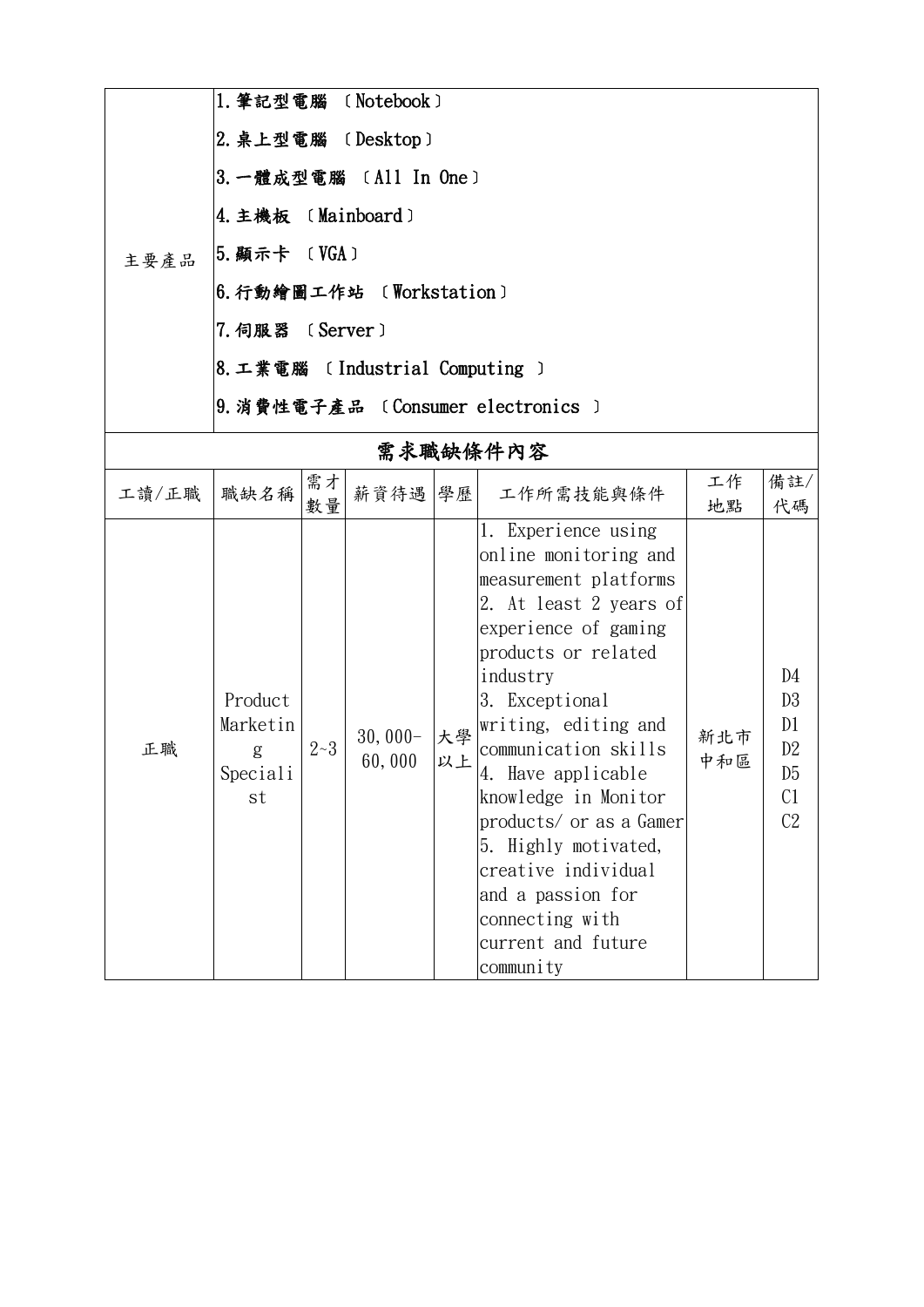| 1. 筆記型電腦 〔Notebook〕 |                        |
|---------------------|------------------------|
| 2. 桌上型電腦 (Desktop)  |                        |
|                     | 3. 一體成型電腦 〔Al1 In One〕 |
| 4. 主機板 (Mainboard)  |                        |

- 主要產品 5. 顯示卡 〔VGA〕
	- 6.行動繪圖工作站 ﹝Workstation﹞
	- |7.伺服器 〔Server〕
	- |8.工業電腦 〔Industrial Computing 〕
	- |9.消費性電子產品 〔Consumer electronics 〕

## 需求職缺條件內容

| 工讀/正職 | 職缺名稱                                       | 需才      | 薪資待遇 學歷             |          | 工作所需技能與條件                                                                                                                                                                                                                                                                                                                                                                                                                       | 工作         | 備註/                                                            |
|-------|--------------------------------------------|---------|---------------------|----------|---------------------------------------------------------------------------------------------------------------------------------------------------------------------------------------------------------------------------------------------------------------------------------------------------------------------------------------------------------------------------------------------------------------------------------|------------|----------------------------------------------------------------|
|       |                                            | 數量      |                     |          |                                                                                                                                                                                                                                                                                                                                                                                                                                 | 地點         | 代碼                                                             |
| 正職    | Product<br>Marketin<br>g<br>Speciali<br>st | $2 - 3$ | $30,000-$<br>60,000 | 大學<br>以上 | 1. Experience using<br>online monitoring and<br>measurement platforms<br>2. At least 2 years of<br>experience of gaming<br>products or related<br>industry<br>3. Exceptional<br>writing, editing and<br>communication skills<br>4. Have applicable<br>knowledge in Monitor<br>products/ or as a Gamer<br>5. Highly motivated,<br>creative individual<br>and a passion for<br>connecting with<br>current and future<br>community | 新北市<br>中和區 | D <sub>4</sub><br>D3<br>D1<br>D <sub>2</sub><br>D5<br>C1<br>C2 |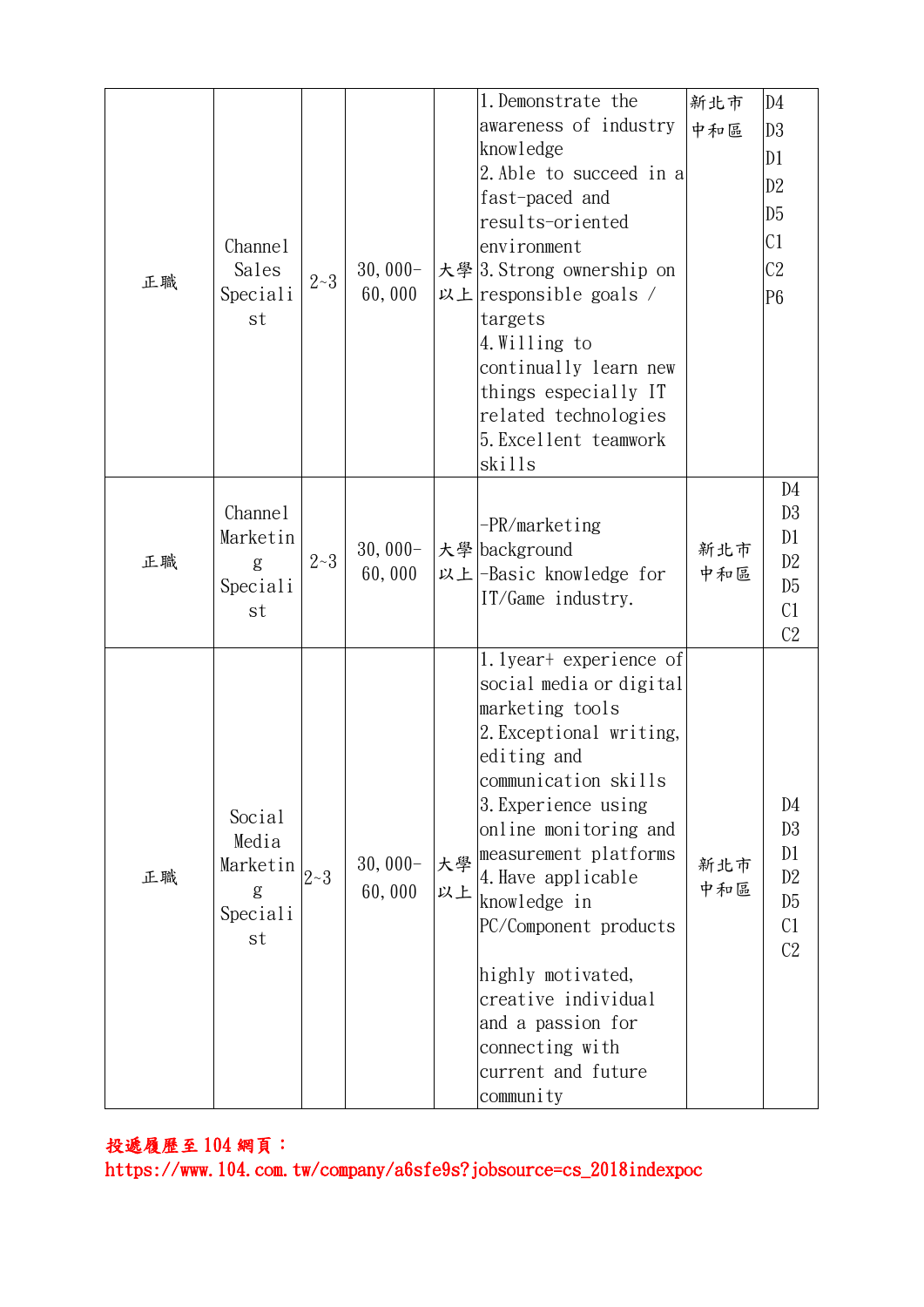|    |                                            | $2 - 3$ | $30,000-$<br>60,000 |          | 1. Demonstrate the<br>awareness of industry | 新北市 | D <sub>4</sub> |
|----|--------------------------------------------|---------|---------------------|----------|---------------------------------------------|-----|----------------|
|    |                                            |         |                     |          | knowledge                                   | 中和區 | D3             |
|    |                                            |         |                     |          | 2. Able to succeed in a                     |     | D1             |
|    |                                            |         |                     |          |                                             |     | D2             |
|    | Channel<br>Sales<br>Speciali               |         |                     |          | fast-paced and                              |     | D <sub>5</sub> |
|    |                                            |         |                     |          | results-oriented                            |     | C <sub>1</sub> |
|    |                                            |         |                     |          | environment                                 |     |                |
| 正職 |                                            |         |                     |          | 大學 3. Strong ownership on                   |     | C <sub>2</sub> |
|    |                                            |         |                     |          | 以上 responsible goals /                      |     | P <sub>6</sub> |
|    | st                                         |         |                     |          | targets                                     |     |                |
|    |                                            |         |                     |          | 4. Willing to                               |     |                |
|    |                                            |         |                     |          | continually learn new                       |     |                |
|    |                                            |         |                     |          | things especially IT                        |     |                |
|    |                                            |         |                     |          | related technologies                        |     |                |
|    |                                            |         |                     |          | 5. Excellent teamwork                       |     |                |
|    |                                            |         |                     |          | skills                                      |     |                |
|    |                                            |         |                     |          |                                             |     | D4             |
| 正職 | Channel                                    |         | $30,000-$<br>60,000 |          | $-PR/markering$                             |     | D <sub>3</sub> |
|    | Marketin                                   | $2 - 3$ |                     |          | 大學 background                               | 新北市 | D1             |
|    | g                                          |         |                     |          | 以上-Basic knowledge for                      | 中和區 | D2             |
|    | Speciali                                   |         |                     |          | IT/Game industry.                           |     | D5             |
|    | st                                         |         |                     |          |                                             |     | C1             |
|    |                                            |         |                     |          |                                             |     | C <sub>2</sub> |
|    |                                            |         |                     |          | 1.1year+ experience of                      |     |                |
|    | Social                                     |         |                     |          | social media or digital                     |     |                |
|    |                                            |         |                     |          | marketing tools                             |     |                |
|    |                                            |         |                     |          | 2. Exceptional writing,                     |     |                |
| 正職 |                                            |         |                     |          | editing and                                 |     |                |
|    |                                            |         |                     |          | communication skills                        |     |                |
|    |                                            |         |                     |          | 3. Experience using                         |     | D4             |
|    | Media                                      |         |                     |          | online monitoring and                       |     | D <sub>3</sub> |
|    | Marketin<br>$2 - 3$<br>g<br>Speciali<br>st |         | $30,000-$<br>60,000 | 大學<br>以上 | measurement platforms                       | 新北市 | D1             |
|    |                                            |         |                     |          | 4. Have applicable                          | 中和區 | D2             |
|    |                                            |         |                     |          | knowledge in                                |     | D5             |
|    |                                            |         |                     |          | PC/Component products                       |     | C1             |
|    |                                            |         |                     |          |                                             |     | C2             |
|    |                                            |         |                     |          | highly motivated,                           |     |                |
|    |                                            |         |                     |          | creative individual                         |     |                |
|    |                                            |         |                     |          | and a passion for                           |     |                |
|    |                                            |         |                     |          | connecting with                             |     |                |
|    |                                            |         |                     |          | current and future                          |     |                |
|    |                                            |         |                     |          | community                                   |     |                |

投遞履歷至 104 網頁:

https://www.104.com.tw/company/a6sfe9s?jobsource=cs\_2018indexpoc